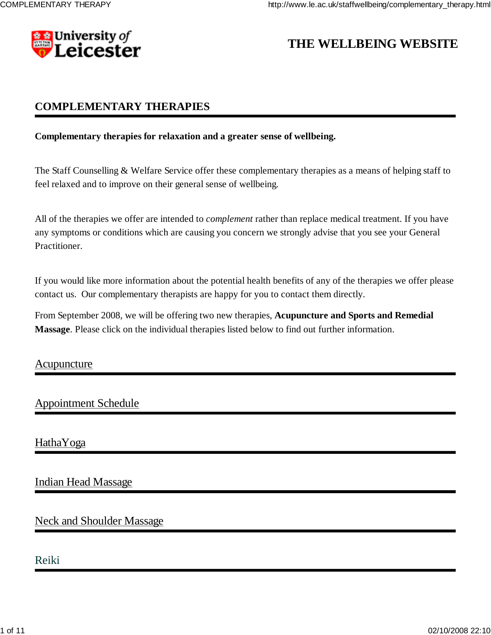

# **THE WELLBEING WEBSITE**

# **COMPLEMENTARY THERAPIES**

### **Complementary therapies for relaxation and a greater sense of wellbeing.**

The Staff Counselling & Welfare Service offer these complementary therapies as a means of helping staff to feel relaxed and to improve on their general sense of wellbeing.

All of the therapies we offer are intended to *complement* rather than replace medical treatment. If you have any symptoms or conditions which are causing you concern we strongly advise that you see your General Practitioner.

If you would like more information about the potential health benefits of any of the therapies we offer please contact us. Our complementary therapists are happy for you to contact them directly.

From September 2008, we will be offering two new therapies, **Acupuncture and Sports and Remedial Massage**. Please click on the individual therapies listed below to find out further information.

## Acupuncture

# Appointment Schedule

HathaYoga

# Indian Head Massage

# Neck and Shoulder Massage

# Reiki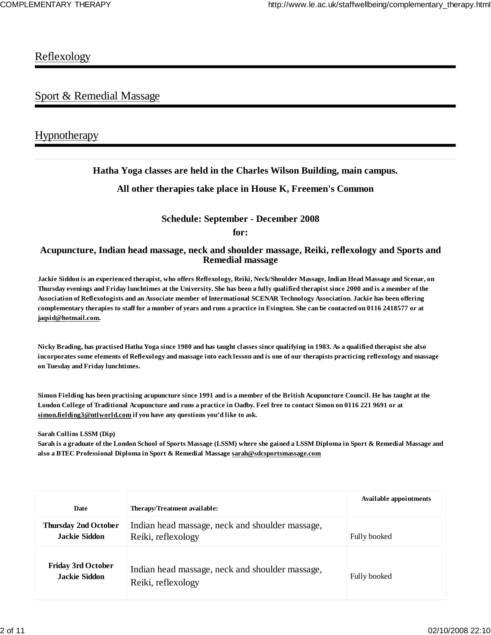# **Reflexology**

# Sport & Remedial Massage

# **Hypnotherapy**

## **Hatha Yoga classes are held in the Charles Wilson Building, main campus.**

## **All other therapies take place in House K, Freemen's Common**

### **Schedule: September - December 2008**

**for:**

### **Acupuncture, Indian head massage, neck and shoulder massage, Reiki, reflexology and Sports and Remedial massage**

**Jackie Siddon is an experienced therapist, who offers Reflexology, Reiki, Neck/Shoulder Massage, Indian Head Massage and Scenar, on Thursday evenings and Friday lunchtimes at the University. She has been a fully qualified therapist since 2000 and is a member of the Association of Reflexologists and an Associate member of Intermational SCENAR Technology Association. Jackie has been offering complementary therapies to staff for a number of years and runs a practice in Evington. She can be contacted on 0116 2418577 or at jaqsid@hotmail.com.**

**Nicky Brading, has practised Hatha Yoga since 1980 and has taught classes since qualifying in 1983. As a qualified therapist she also incorporates some elements of Reflexology and massage into each lesson and is one of our therapists practicing reflexology and massage on Tuesday and Friday lunchtimes.**

**Simon Fielding has been practising acupuncture since 1991 and is a member of the British Acupuncture Council. He has taught at the London College of Traditional Acupuncture and runs a practice in Oadby. Feel free to contact Simon on 0116 221 9691 or at simon.fielding3@ntlworld.com if you have any questions you'd like to ask.**

**Sarah Collins LSSM (Dip)** 

**Sarah is a graduate of the London School of Sports Massage (LSSM) where she gained a LSSM Diploma in Sport & Remedial Massage and also a BTEC Professional Diploma in Sport & Remedial Massage sarah@sdcsportsmassage.com**

| Date                                                | Therapy/Treatment available:                                          | <b>Available appointments</b> |
|-----------------------------------------------------|-----------------------------------------------------------------------|-------------------------------|
| <b>Thursday 2nd October</b><br><b>Jackie Siddon</b> | Indian head massage, neck and shoulder massage,<br>Reiki, reflexology | Fully booked                  |
| <b>Friday 3rd October</b><br><b>Jackie Siddon</b>   | Indian head massage, neck and shoulder massage,<br>Reiki, reflexology | Fully booked                  |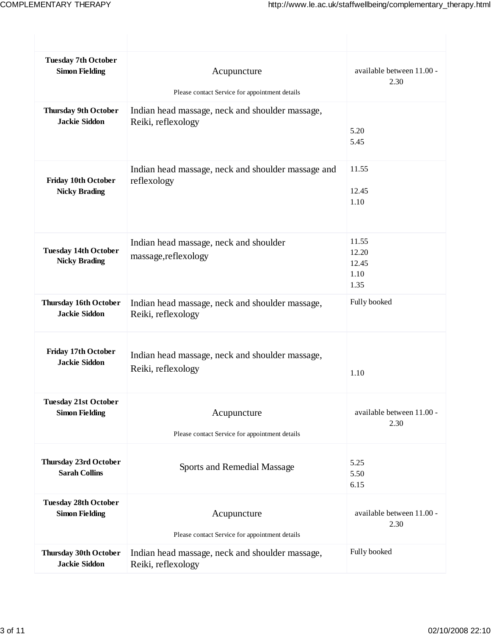| <b>Tuesday 7th October</b><br><b>Simon Fielding</b>  | Acupuncture<br>Please contact Service for appointment details         | available between 11.00 -<br>2.30       |
|------------------------------------------------------|-----------------------------------------------------------------------|-----------------------------------------|
| <b>Thursday 9th October</b><br><b>Jackie Siddon</b>  | Indian head massage, neck and shoulder massage,<br>Reiki, reflexology | 5.20<br>5.45                            |
| <b>Friday 10th October</b><br><b>Nicky Brading</b>   | Indian head massage, neck and shoulder massage and<br>reflexology     | 11.55<br>12.45<br>1.10                  |
| <b>Tuesday 14th October</b><br><b>Nicky Brading</b>  | Indian head massage, neck and shoulder<br>massage, reflexology        | 11.55<br>12.20<br>12.45<br>1.10<br>1.35 |
| <b>Thursday 16th October</b><br><b>Jackie Siddon</b> | Indian head massage, neck and shoulder massage,<br>Reiki, reflexology | Fully booked                            |
| <b>Friday 17th October</b><br><b>Jackie Siddon</b>   | Indian head massage, neck and shoulder massage,<br>Reiki, reflexology | 1.10                                    |
| <b>Tuesday 21st October</b><br><b>Simon Fielding</b> | Acupuncture<br>Please contact Service for appointment details         | available between 11.00 -<br>2.30       |
| <b>Thursday 23rd October</b><br><b>Sarah Collins</b> | Sports and Remedial Massage                                           | 5.25<br>5.50<br>6.15                    |
| <b>Tuesday 28th October</b><br><b>Simon Fielding</b> | Acupuncture<br>Please contact Service for appointment details         | available between 11.00 -<br>2.30       |
| <b>Thursday 30th October</b><br><b>Jackie Siddon</b> | Indian head massage, neck and shoulder massage,<br>Reiki, reflexology | Fully booked                            |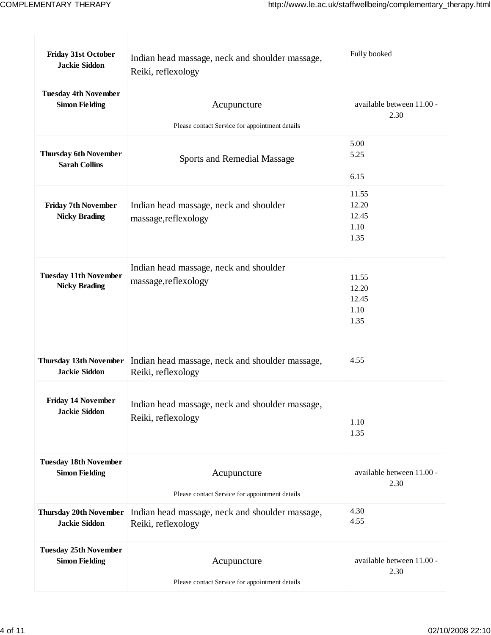| <b>Friday 31st October</b><br><b>Jackie Siddon</b>    | Indian head massage, neck and shoulder massage,<br>Reiki, reflexology | Fully booked                            |  |
|-------------------------------------------------------|-----------------------------------------------------------------------|-----------------------------------------|--|
| <b>Tuesday 4th November</b>                           | Acupuncture                                                           | available between 11.00 -               |  |
| <b>Simon Fielding</b>                                 | Please contact Service for appointment details                        | 2.30                                    |  |
| <b>Thursday 6th November</b><br><b>Sarah Collins</b>  | Sports and Remedial Massage                                           | 5.00<br>5.25<br>6.15                    |  |
| <b>Friday 7th November</b><br><b>Nicky Brading</b>    | Indian head massage, neck and shoulder<br>massage, reflexology        | 11.55<br>12.20<br>12.45<br>1.10<br>1.35 |  |
| <b>Tuesday 11th November</b><br><b>Nicky Brading</b>  | Indian head massage, neck and shoulder<br>massage,reflexology         | 11.55<br>12.20<br>12.45<br>1.10<br>1.35 |  |
| <b>Thursday 13th November</b><br><b>Jackie Siddon</b> | Indian head massage, neck and shoulder massage,<br>Reiki, reflexology | 4.55                                    |  |
| <b>Friday 14 November</b>                             | Indian head massage, neck and shoulder massage,                       | 1.10                                    |  |
| <b>Jackie Siddon</b>                                  | Reiki, reflexology                                                    | 1.35                                    |  |
| <b>Tuesday 18th November</b>                          | Acupuncture                                                           | available between 11.00 -               |  |
| <b>Simon Fielding</b>                                 | Please contact Service for appointment details                        | 2.30                                    |  |
| <b>Thursday 20th November</b>                         | Indian head massage, neck and shoulder massage,                       | 4.30                                    |  |
| <b>Jackie Siddon</b>                                  | Reiki, reflexology                                                    | 4.55                                    |  |
| <b>Tuesday 25th November</b>                          | Acupuncture                                                           | available between 11.00 -               |  |
| <b>Simon Fielding</b>                                 | Please contact Service for appointment details                        | 2.30                                    |  |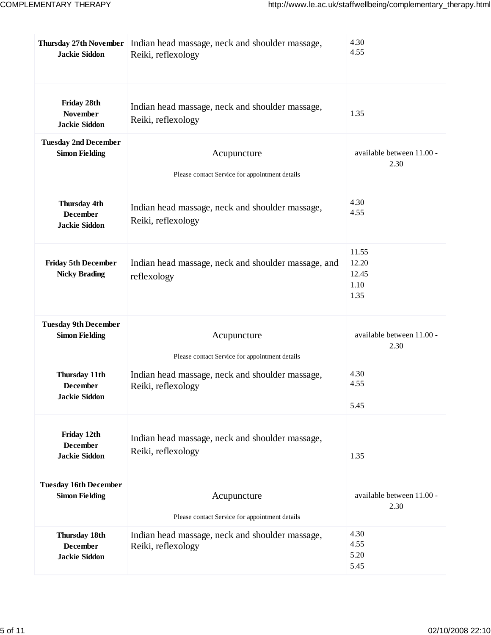| <b>Jackie Siddon</b>                                            | Thursday 27th November   Indian head massage, neck and shoulder massage,<br>Reiki, reflexology | 4.30<br>4.55                            |
|-----------------------------------------------------------------|------------------------------------------------------------------------------------------------|-----------------------------------------|
| Friday 28th<br><b>November</b><br><b>Jackie Siddon</b>          | Indian head massage, neck and shoulder massage,<br>Reiki, reflexology                          | 1.35                                    |
| <b>Tuesday 2nd December</b><br><b>Simon Fielding</b>            | Acupuncture<br>Please contact Service for appointment details                                  | available between 11.00 -<br>2.30       |
| Thursday 4th<br><b>December</b><br><b>Jackie Siddon</b>         | Indian head massage, neck and shoulder massage,<br>Reiki, reflexology                          | 4.30<br>4.55                            |
| <b>Friday 5th December</b><br><b>Nicky Brading</b>              | Indian head massage, neck and shoulder massage, and<br>reflexology                             | 11.55<br>12.20<br>12.45<br>1.10<br>1.35 |
| <b>Tuesday 9th December</b><br><b>Simon Fielding</b>            | Acupuncture<br>Please contact Service for appointment details                                  | available between 11.00 -<br>2.30       |
| Thursday 11th<br>December<br><b>Jackie Siddon</b>               | Indian head massage, neck and shoulder massage,<br>Reiki, reflexology                          | 4.30<br>4.55<br>5.45                    |
| Friday 12th<br><b>December</b><br><b>Jackie Siddon</b>          | Indian head massage, neck and shoulder massage,<br>Reiki, reflexology                          | 1.35                                    |
| <b>Tuesday 16th December</b><br><b>Simon Fielding</b>           | Acupuncture<br>Please contact Service for appointment details                                  | available between 11.00 -<br>2.30       |
| <b>Thursday 18th</b><br><b>December</b><br><b>Jackie Siddon</b> | Indian head massage, neck and shoulder massage,<br>Reiki, reflexology                          | 4.30<br>4.55<br>5.20<br>5.45            |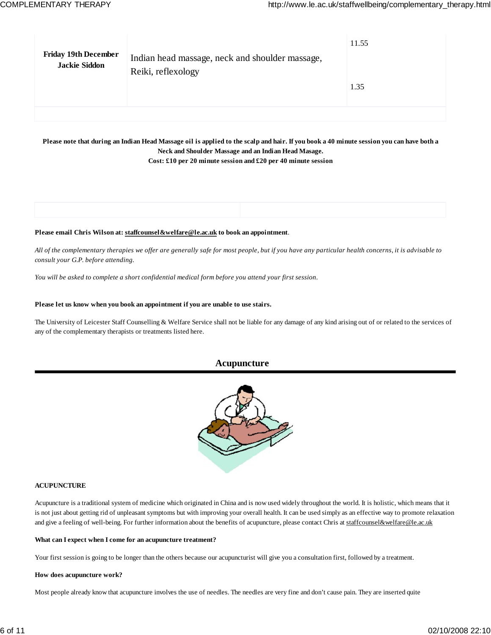| <b>Friday 19th December</b> | Indian head massage, neck and shoulder massage, | 11.55 |
|-----------------------------|-------------------------------------------------|-------|
| <b>Jackie Siddon</b>        | Reiki, reflexology                              | 1.35  |
|                             |                                                 |       |

### **Please note that during an Indian Head Massage oil is applied to the scalp and hair. If you book a 40 minute session you can have both a Neck and Shoulder Massage and an Indian Head Masage.**

**Cost: £10 per 20 minute session and £20 per 40 minute session**

#### **Please email Chris Wilson at: staffcounsel&welfare@le.ac.uk to book an appointment**.

*All of the complementary therapies we offer are generally safe for most people, but if you have any particular health concerns, it is advisable to consult your G.P. before attending.*

*You will be asked to complete a short confidential medical form before you attend your first session.*

#### **Please let us know when you book an appointment if you are unable to use stairs.**

The University of Leicester Staff Counselling & Welfare Service shall not be liable for any damage of any kind arising out of or related to the services of any of the complementary therapists or treatments listed here.

### **Acupuncture**



#### **ACUPUNCTURE**

Acupuncture is a traditional system of medicine which originated in China and is now used widely throughout the world. It is holistic, which means that it is not just about getting rid of unpleasant symptoms but with improving your overall health. It can be used simply as an effective way to promote relaxation and give a feeling of well-being. For further information about the benefits of acupuncture, please contact Chris at staffcounsel&welfare@le.ac.uk

#### **What can I expect when I come for an acupuncture treatment?**

Your first session is going to be longer than the others because our acupuncturist will give you a consultation first, followed by a treatment.

#### **How does acupuncture work?**

Most people already know that acupuncture involves the use of needles. The needles are very fine and don't cause pain. They are inserted quite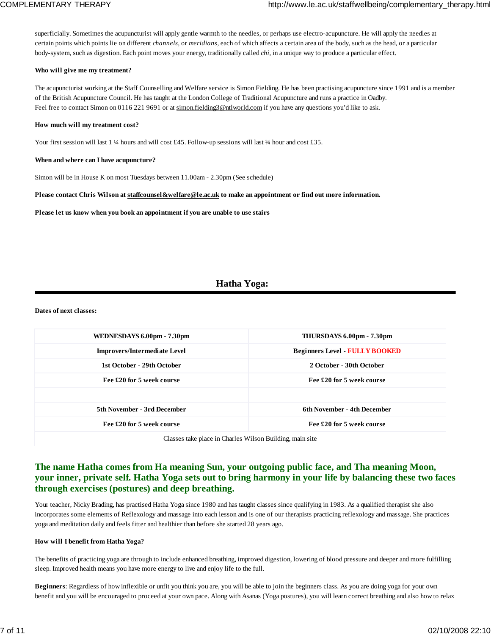superficially. Sometimes the acupuncturist will apply gentle warmth to the needles, or perhaps use electro-acupuncture. He will apply the needles at certain points which points lie on different *channels,* or *meridians,* each of which affects a certain area of the body, such as the head, or a particular body-system, such as digestion. Each point moves your energy, traditionally called *chi,* in a unique way to produce a particular effect.

#### **Who will give me my treatment?**

The acupuncturist working at the Staff Counselling and Welfare service is Simon Fielding. He has been practising acupuncture since 1991 and is a member of the British Acupuncture Council. He has taught at the London College of Traditional Acupuncture and runs a practice in Oadby. Feel free to contact Simon on 0116 221 9691 or at simon.fielding3@ntlworld.com if you have any questions you'd like to ask.

#### **How much will my treatment cost?**

Your first session will last 1 ¼ hours and will cost £45. Follow-up sessions will last ¾ hour and cost £35.

#### **When and where can I have acupuncture?**

Simon will be in House K on most Tuesdays between 11.00am - 2.30pm (See schedule)

#### **Please contact Chris Wilson at staffcounsel&welfare@le.ac.uk to make an appointment or find out more information.**

**Please let us know when you book an appointment if you are unable to use stairs**

### **Hatha Yoga:**

**Dates of next classes:**

| WEDNESDAYS 6.00pm - 7.30pm                               | THURSDAYS 6.00pm - 7.30pm           |  |
|----------------------------------------------------------|-------------------------------------|--|
| <b>Improvers/Intermediate Level</b>                      | <b>Beginners Level FULLY BOOKED</b> |  |
| 1st October - 29th October                               | 2 October - 30th October            |  |
| Fee £20 for 5 week course                                | Fee £20 for 5 week course           |  |
|                                                          |                                     |  |
| <b>5th November - 3rd December</b>                       | 6th November - 4th December         |  |
| Fee £20 for 5 week course                                | Fee £20 for 5 week course           |  |
| Classes take place in Charles Wilson Building, main site |                                     |  |

### **The name Hatha comes from Ha meaning Sun, your outgoing public face, and Tha meaning Moon, your inner, private self. Hatha Yoga sets out to bring harmony in your life by balancing these two faces through exercises (postures) and deep breathing.**

Your teacher, Nicky Brading, has practised Hatha Yoga since 1980 and has taught classes since qualifying in 1983. As a qualified therapist she also incorporates some elements of Reflexology and massage into each lesson and is one of our therapists practicing reflexology and massage. She practices yoga and meditation daily and feels fitter and healthier than before she started 28 years ago.

#### **How will I benefit from Hatha Yoga?**

The benefits of practicing yoga are through to include enhanced breathing, improved digestion, lowering of blood pressure and deeper and more fulfilling sleep. Improved health means you have more energy to live and enjoy life to the full.

**Beginners**: Regardless of how inflexible or unfit you think you are, you will be able to join the beginners class. As you are doing yoga for your own benefit and you will be encouraged to proceed at your own pace. Along with Asanas (Yoga postures), you will learn correct breathing and also how to relax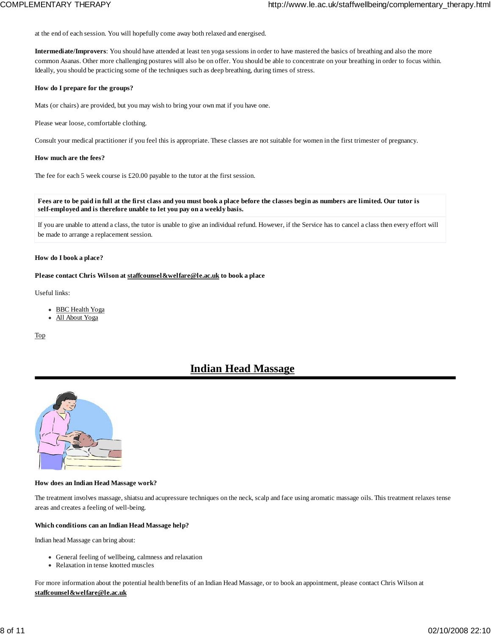at the end of each session. You will hopefully come away both relaxed and energised.

**Intermediate/Improvers**: You should have attended at least ten yoga sessions in order to have mastered the basics of breathing and also the more common Asanas. Other more challenging postures will also be on offer. You should be able to concentrate on your breathing in order to focus within. Ideally, you should be practicing some of the techniques such as deep breathing, during times of stress.

#### **How do I prepare for the groups?**

Mats (or chairs) are provided, but you may wish to bring your own mat if you have one.

Please wear loose, comfortable clothing.

Consult your medical practitioner if you feel this is appropriate. These classes are not suitable for women in the first trimester of pregnancy.

#### **How much are the fees?**

The fee for each 5 week course is £20.00 payable to the tutor at the first session.

**Fees are to be paid in full at the first class and you must book a place before the classes begin as numbers are limited. Our tutor is self-employed and is therefore unable to let you pay on a weekly basis.**

If you are unable to attend a class, the tutor is unable to give an individual refund. However, if the Service has to cancel a class then every effort will be made to arrange a replacement session.

#### **How do I book a place?**

#### **Please contact Chris Wilson at staffcounsel&welfare@le.ac.uk to book a place**

Useful links:

- BBC Health Yoga
- All About Yoga

Top

# **Indian Head Massage**



#### **How does an Indian Head Massage work?**

The treatment involves massage, shiatsu and acupressure techniques on the neck, scalp and face using aromatic massage oils. This treatment relaxes tense areas and creates a feeling of well-being.

#### **Which conditions can an Indian Head Massage help?**

Indian head Massage can bring about:

- General feeling of wellbeing, calmness and relaxation
- Relaxation in tense knotted muscles

For more information about the potential health benefits of an Indian Head Massage, or to book an appointment, please contact Chris Wilson at **staffcounsel&welfare@le.ac.uk**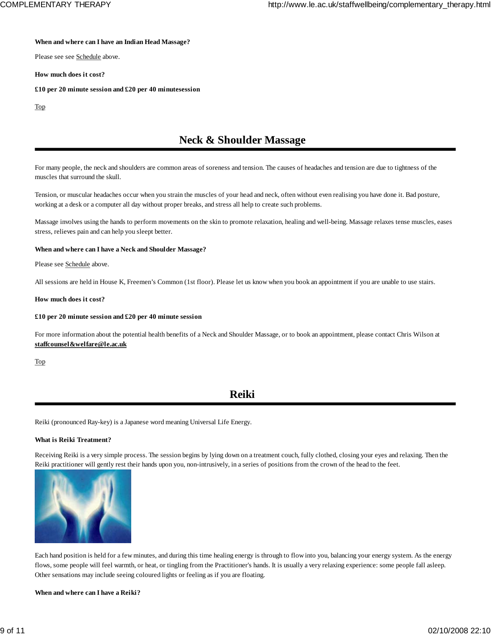#### **When and where can I have an Indian Head Massage?**

Please see see Schedule above.

**How much does it cost?**

**£10 per 20 minute session and £20 per 40 minutesession**

Top

# **Neck & Shoulder Massage**

For many people, the neck and shoulders are common areas of soreness and tension. The causes of headaches and tension are due to tightness of the muscles that surround the skull.

Tension, or muscular headaches occur when you strain the muscles of your head and neck, often without even realising you have done it. Bad posture, working at a desk or a computer all day without proper breaks, and stress all help to create such problems.

Massage involves using the hands to perform movements on the skin to promote relaxation, healing and well-being. Massage relaxes tense muscles, eases stress, relieves pain and can help you sleept better.

#### **When and where can I have a Neck and Shoulder Massage?**

Please see Schedule above.

All sessions are held in House K, Freemen's Common (1st floor). Please let us know when you book an appointment if you are unable to use stairs.

#### **How much does it cost?**

#### **£10 per 20 minute session and £20 per 40 minute session**

For more information about the potential health benefits of a Neck and Shoulder Massage, or to book an appointment, please contact Chris Wilson at **staffcounsel&welfare@le.ac.uk**

Top

## **Reiki**

Reiki (pronounced Ray-key) is a Japanese word meaning Universal Life Energy.

#### **What is Reiki Treatment?**

Receiving Reiki is a very simple process. The session begins by lying down on a treatment couch, fully clothed, closing your eyes and relaxing. Then the Reiki practitioner will gently rest their hands upon you, non-intrusively, in a series of positions from the crown of the head to the feet.



Each hand position is held for a few minutes, and during this time healing energy is through to flow into you, balancing your energy system. As the energy flows, some people will feel warmth, or heat, or tingling from the Practitioner's hands. It is usually a very relaxing experience: some people fall asleep. Other sensations may include seeing coloured lights or feeling as if you are floating.

**When and where can I have a Reiki?**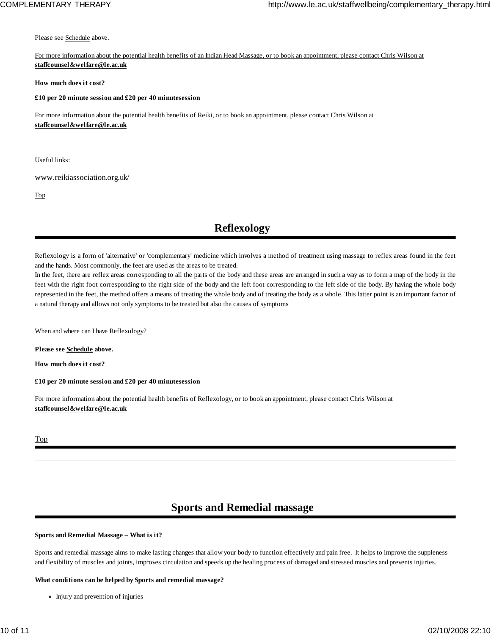Please see Schedule above.

For more information about the potential health benefits of an Indian Head Massage, or to book an appointment, please contact Chris Wilson at **staffcounsel&welfare@le.ac.uk**

#### **How much does it cost?**

#### **£10 per 20 minute session and £20 per 40 minutesession**

For more information about the potential health benefits of Reiki, or to book an appointment, please contact Chris Wilson at **staffcounsel&welfare@le.ac.uk**

Useful links:

#### www.reikiassociation.org.uk/

Top

# **Reflexology**

Reflexology is a form of 'alternative' or 'complementary' medicine which involves a method of treatment using massage to reflex areas found in the feet and the hands. Most commonly, the feet are used as the areas to be treated.

In the feet, there are reflex areas corresponding to all the parts of the body and these areas are arranged in such a way as to form a map of the body in the feet with the right foot corresponding to the right side of the body and the left foot corresponding to the left side of the body. By having the whole body represented in the feet, the method offers a means of treating the whole body and of treating the body as a whole. This latter point is an important factor of a natural therapy and allows not only symptoms to be treated but also the causes of symptoms

When and where can I have Reflexology?

**Please see Schedule above.**

**How much does it cost?**

**£10 per 20 minute session and £20 per 40 minutesession**

For more information about the potential health benefits of Reflexology, or to book an appointment, please contact Chris Wilson at **staffcounsel&welfare@le.ac.uk**

#### Top

# **Sports and Remedial massage**

#### **Sports and Remedial Massage – What is it?**

Sports and remedial massage aims to make lasting changes that allow your body to function effectively and pain free. It helps to improve the suppleness and flexibility of muscles and joints, improves circulation and speeds up the healing process of damaged and stressed muscles and prevents injuries.

#### **What conditions can be helped by Sports and remedial massage?**

• Injury and prevention of injuries